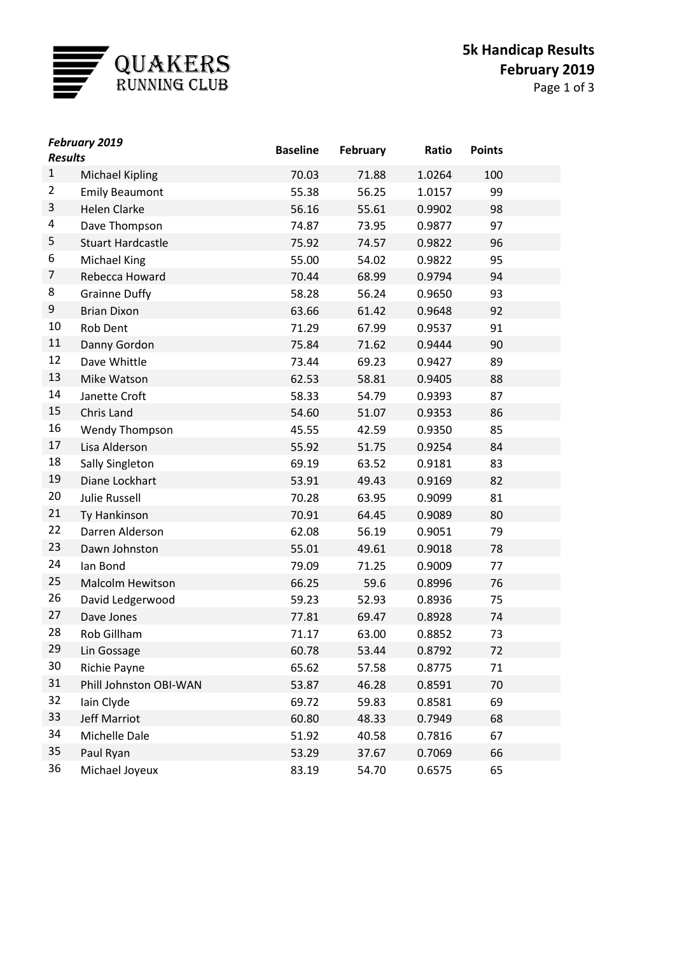

| Page 1 of 3 |  |  |  |
|-------------|--|--|--|
|-------------|--|--|--|

|                | <b>February 2019</b>     | <b>Baseline</b> | <b>February</b> | Ratio  | <b>Points</b> |  |
|----------------|--------------------------|-----------------|-----------------|--------|---------------|--|
| <b>Results</b> |                          |                 |                 |        |               |  |
| $\mathbf{1}$   | <b>Michael Kipling</b>   | 70.03           | 71.88           | 1.0264 | 100           |  |
| 2              | <b>Emily Beaumont</b>    | 55.38           | 56.25           | 1.0157 | 99            |  |
| 3              | <b>Helen Clarke</b>      | 56.16           | 55.61           | 0.9902 | 98            |  |
| 4              | Dave Thompson            | 74.87           | 73.95           | 0.9877 | 97            |  |
| 5              | <b>Stuart Hardcastle</b> | 75.92           | 74.57           | 0.9822 | 96            |  |
| 6              | Michael King             | 55.00           | 54.02           | 0.9822 | 95            |  |
| 7              | Rebecca Howard           | 70.44           | 68.99           | 0.9794 | 94            |  |
| 8              | <b>Grainne Duffy</b>     | 58.28           | 56.24           | 0.9650 | 93            |  |
| 9              | <b>Brian Dixon</b>       | 63.66           | 61.42           | 0.9648 | 92            |  |
| 10             | Rob Dent                 | 71.29           | 67.99           | 0.9537 | 91            |  |
| 11             | Danny Gordon             | 75.84           | 71.62           | 0.9444 | 90            |  |
| 12             | Dave Whittle             | 73.44           | 69.23           | 0.9427 | 89            |  |
| 13             | Mike Watson              | 62.53           | 58.81           | 0.9405 | 88            |  |
| 14             | Janette Croft            | 58.33           | 54.79           | 0.9393 | 87            |  |
| 15             | Chris Land               | 54.60           | 51.07           | 0.9353 | 86            |  |
| 16             | <b>Wendy Thompson</b>    | 45.55           | 42.59           | 0.9350 | 85            |  |
| 17             | Lisa Alderson            | 55.92           | 51.75           | 0.9254 | 84            |  |
| 18             | <b>Sally Singleton</b>   | 69.19           | 63.52           | 0.9181 | 83            |  |
| 19             | Diane Lockhart           | 53.91           | 49.43           | 0.9169 | 82            |  |
| 20             | <b>Julie Russell</b>     | 70.28           | 63.95           | 0.9099 | 81            |  |
| 21             | Ty Hankinson             | 70.91           | 64.45           | 0.9089 | 80            |  |
| 22             | Darren Alderson          | 62.08           | 56.19           | 0.9051 | 79            |  |
| 23             | Dawn Johnston            | 55.01           | 49.61           | 0.9018 | 78            |  |
| 24             | Ian Bond                 | 79.09           | 71.25           | 0.9009 | 77            |  |
| 25             | <b>Malcolm Hewitson</b>  | 66.25           | 59.6            | 0.8996 | 76            |  |
| 26             | David Ledgerwood         | 59.23           | 52.93           | 0.8936 | 75            |  |
| 27             | Dave Jones               | 77.81           | 69.47           | 0.8928 | 74            |  |
| 28             | Rob Gillham              | 71.17           | 63.00           | 0.8852 | 73            |  |
| 29             | Lin Gossage              | 60.78           | 53.44           | 0.8792 | 72            |  |
| 30             | Richie Payne             | 65.62           | 57.58           | 0.8775 | 71            |  |
| 31             | Phill Johnston OBI-WAN   | 53.87           | 46.28           | 0.8591 | 70            |  |
| 32             | Iain Clyde               | 69.72           | 59.83           | 0.8581 | 69            |  |
| 33             | <b>Jeff Marriot</b>      | 60.80           | 48.33           | 0.7949 | 68            |  |
| 34             | Michelle Dale            | 51.92           | 40.58           | 0.7816 | 67            |  |
| 35             | Paul Ryan                | 53.29           | 37.67           | 0.7069 | 66            |  |
| 36             | Michael Joyeux           | 83.19           | 54.70           | 0.6575 | 65            |  |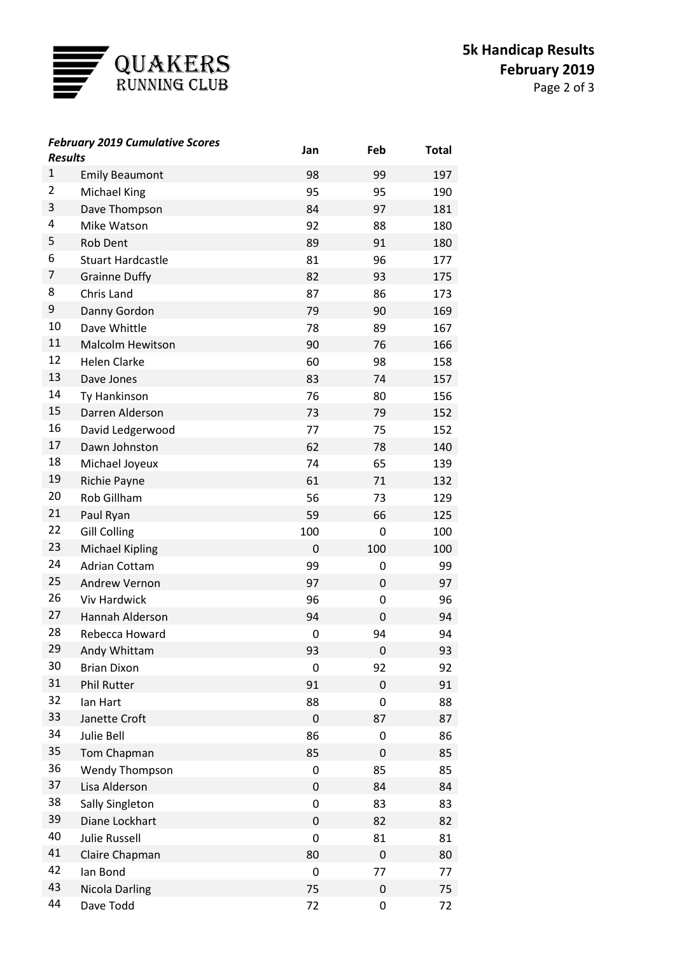

Page 2 of 3

| <b>Results</b> | <b>February 2019 Cumulative Scores</b> | Jan | Feb | <b>Total</b> |
|----------------|----------------------------------------|-----|-----|--------------|
| $\mathbf{1}$   | <b>Emily Beaumont</b>                  | 98  | 99  | 197          |
| 2              | Michael King                           | 95  | 95  | 190          |
| 3              | Dave Thompson                          | 84  | 97  | 181          |
| 4              | Mike Watson                            | 92  | 88  | 180          |
| 5              | Rob Dent                               | 89  | 91  | 180          |
| 6              | <b>Stuart Hardcastle</b>               | 81  | 96  | 177          |
| 7              | <b>Grainne Duffy</b>                   | 82  | 93  | 175          |
| 8              | Chris Land                             | 87  | 86  | 173          |
| 9              | Danny Gordon                           | 79  | 90  | 169          |
| 10             | Dave Whittle                           | 78  | 89  | 167          |
| 11             | <b>Malcolm Hewitson</b>                | 90  | 76  | 166          |
| 12             | <b>Helen Clarke</b>                    | 60  | 98  | 158          |
| 13             | Dave Jones                             | 83  | 74  | 157          |
| 14             | Ty Hankinson                           | 76  | 80  | 156          |
| 15             | Darren Alderson                        | 73  | 79  | 152          |
| 16             | David Ledgerwood                       | 77  | 75  | 152          |
| 17             | Dawn Johnston                          | 62  | 78  | 140          |
| 18             | Michael Joyeux                         | 74  | 65  | 139          |
| 19             | <b>Richie Payne</b>                    | 61  | 71  | 132          |
| 20             | Rob Gillham                            | 56  | 73  | 129          |
| 21             | Paul Ryan                              | 59  | 66  | 125          |
| 22             | <b>Gill Colling</b>                    | 100 | 0   | 100          |
| 23             | <b>Michael Kipling</b>                 | 0   | 100 | 100          |
| 24             | <b>Adrian Cottam</b>                   | 99  | 0   | 99           |
| 25             | Andrew Vernon                          | 97  | 0   | 97           |
| 26             | <b>Viv Hardwick</b>                    | 96  | 0   | 96           |
| 27             | Hannah Alderson                        | 94  | 0   | 94           |
| 28             | Rebecca Howard                         | 0   | 94  | 94           |
| 29             | Andy Whittam                           | 93  | 0   | 93           |
| 30             | <b>Brian Dixon</b>                     | 0   | 92  | 92           |
| 31             | <b>Phil Rutter</b>                     | 91  | 0   | 91           |
| 32             | lan Hart                               | 88  | 0   | 88           |
| 33             | Janette Croft                          | 0   | 87  | 87           |
| 34             | Julie Bell                             | 86  | 0   | 86           |
| 35             | Tom Chapman                            | 85  | 0   | 85           |
| 36             | <b>Wendy Thompson</b>                  | 0   | 85  | 85           |
| 37             | Lisa Alderson                          | 0   | 84  | 84           |
| 38             | Sally Singleton                        | 0   | 83  | 83           |
| 39             | Diane Lockhart                         | 0   | 82  | 82           |
| 40             | <b>Julie Russell</b>                   | 0   | 81  | 81           |
| 41             | Claire Chapman                         | 80  | 0   | 80           |
| 42             | lan Bond                               | 0   | 77  | 77           |
| 43             | <b>Nicola Darling</b>                  | 75  | 0   | 75           |
| 44             | Dave Todd                              | 72  | 0   | 72           |